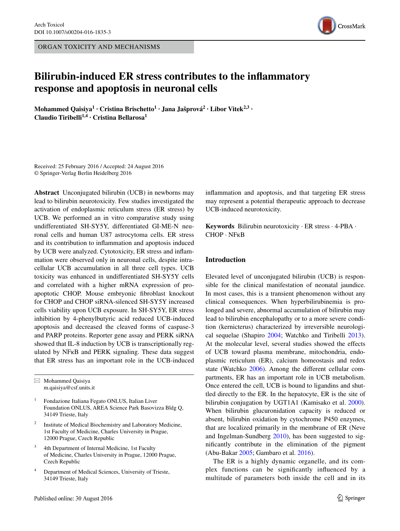ORGAN TOXICITY AND MECHANISMS



# **Bilirubin‑induced ER stress contributes to the inflammatory response and apoptosis in neuronal cells**

**Mohammed Qaisiya1 · Cristina Brischetto1 · Jana Jašprová2 · Libor Vitek2,3 · Claudio Tiribelli1,4 · Cristina Bellarosa<sup>1</sup>**

Received: 25 February 2016 / Accepted: 24 August 2016 © Springer-Verlag Berlin Heidelberg 2016

**Abstract** Unconjugated bilirubin (UCB) in newborns may lead to bilirubin neurotoxicity. Few studies investigated the activation of endoplasmic reticulum stress (ER stress) by UCB. We performed an in vitro comparative study using undifferentiated SH-SY5Y, differentiated GI-ME-N neuronal cells and human U87 astrocytoma cells. ER stress and its contribution to inflammation and apoptosis induced by UCB were analyzed. Cytotoxicity, ER stress and inflammation were observed only in neuronal cells, despite intracellular UCB accumulation in all three cell types. UCB toxicity was enhanced in undifferentiated SH-SY5Y cells and correlated with a higher mRNA expression of proapoptotic CHOP. Mouse embryonic fibroblast knockout for CHOP and CHOP siRNA-silenced SH-SY5Y increased cells viability upon UCB exposure. In SH-SY5Y, ER stress inhibition by 4-phenylbutyric acid reduced UCB-induced apoptosis and decreased the cleaved forms of caspase-3 and PARP proteins. Reporter gene assay and PERK siRNA showed that IL-8 induction by UCB is transcriptionally regulated by NFкB and PERK signaling. These data suggest that ER stress has an important role in the UCB-induced

 $\boxtimes$  Mohammed Qaisiya m.qaisiya@csf.units.it

<sup>1</sup> Fondazione Italiana Fegato ONLUS, Italian Liver Foundation ONLUS, AREA Science Park Basovizza Bldg Q, 34149 Trieste, Italy

- Institute of Medical Biochemistry and Laboratory Medicine, 1st Faculty of Medicine, Charles University in Prague, 12000 Prague, Czech Republic
- <sup>3</sup> 4th Department of Internal Medicine, 1st Faculty of Medicine, Charles University in Prague, 12000 Prague, Czech Republic
- Department of Medical Sciences, University of Trieste, 34149 Trieste, Italy

inflammation and apoptosis, and that targeting ER stress may represent a potential therapeutic approach to decrease UCB-induced neurotoxicity.

**Keywords** Bilirubin neurotoxicity · ER stress · 4-PBA · CHOP · NFкB

# **Introduction**

Elevated level of unconjugated bilirubin (UCB) is responsible for the clinical manifestation of neonatal jaundice. In most cases, this is a transient phenomenon without any clinical consequences. When hyperbilirubinemia is prolonged and severe, abnormal accumulation of bilirubin may lead to bilirubin encephalopathy or to a more severe condition (kernicterus) characterized by irreversible neurological sequelae (Shapiro [2004](#page-11-0); Watchko and Tiribelli [2013](#page-11-1)). At the molecular level, several studies showed the effects of UCB toward plasma membrane, mitochondria, endoplasmic reticulum (ER), calcium homeostasis and redox state (Watchko [2006](#page-11-2)). Among the different cellular compartments, ER has an important role in UCB metabolism. Once entered the cell, UCB is bound to ligandins and shuttled directly to the ER. In the hepatocyte, ER is the site of bilirubin conjugation by UGT1A1 (Kamisako et al. [2000](#page-11-3)). When bilirubin glucuronidation capacity is reduced or absent, bilirubin oxidation by cytochrome P450 enzymes, that are localized primarily in the membrane of ER (Neve and Ingelman-Sundberg [2010\)](#page-11-4), has been suggested to significantly contribute in the elimination of the pigment (Abu-Bakar [2005](#page-10-0); Gambaro et al. [2016](#page-10-1)).

The ER is a highly dynamic organelle, and its complex functions can be significantly influenced by a multitude of parameters both inside the cell and in its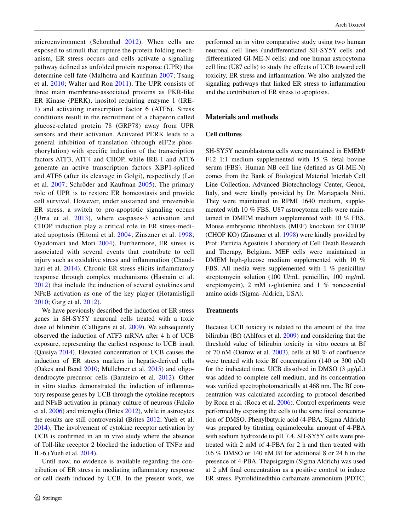microenvironment (Schönthal [2012\)](#page-11-5). When cells are exposed to stimuli that rupture the protein folding mechanism, ER stress occurs and cells activate a signaling pathway defined as unfolded protein response (UPR) that determine cell fate (Malhotra and Kaufman [2007](#page-11-6); Tsang et al. [2010](#page-11-7); Walter and Ron [2011](#page-11-8)). The UPR consists of three main membrane-associated proteins as PKR-like ER Kinase (PERK), inositol requiring enzyme 1 (IRE-1) and activating transcription factor 6 (ATF6). Stress conditions result in the recruitment of a chaperon called glucose-related protein 78 (GRP78) away from UPR sensors and their activation. Activated PERK leads to a general inhibition of translation (through eIF2α phosphorylation) with specific induction of the transcription factors ATF3, ATF4 and CHOP, while IRE-1 and ATF6 generate an active transcription factors XBP1-spliced and ATF6 (after its cleavage in Golgi), respectively (Lai et al. [2007](#page-11-9); Schröder and Kaufman [2005\)](#page-11-10). The primary role of UPR is to restore ER homeostasis and provide cell survival. However, under sustained and irreversible ER stress, a switch to pro-apoptotic signaling occurs (Urra et al. [2013](#page-11-11)), where caspases-3 activation and CHOP induction play a critical role in ER stress-mediated apoptosis (Hitomi et al. [2004;](#page-11-12) Zinszner et al. [1998](#page-11-13); Oyadomari and Mori [2004](#page-11-14)). Furthermore, ER stress is associated with several events that contribute to cell injury such as oxidative stress and inflammation (Chaud-hari et al. [2014\)](#page-10-2). Chronic ER stress elicits inflammatory response through complex mechanisms (Hasnain et al. [2012\)](#page-11-15) that include the induction of several cytokines and NFкB activation as one of the key player (Hotamisligil [2010;](#page-11-16) Garg et al. [2012\)](#page-11-17).

We have previously described the induction of ER stress genes in SH-SY5Y neuronal cells treated with a toxic dose of bilirubin (Calligaris et al. [2009\)](#page-10-3). We subsequently observed the induction of ATF3 mRNA after 4 h of UCB exposure, representing the earliest response to UCB insult (Qaisiya [2014](#page-11-18)). Elevated concentration of UCB causes the induction of ER stress markers in hepatic-derived cells (Oakes and Bend [2010](#page-11-19); Müllebner et al. [2015\)](#page-11-20) and oligodendrocyte precursor cells (Barateiro et al. [2012\)](#page-10-4). Other in vitro studies demonstrated the induction of inflammatory response genes by UCB through the cytokine receptors and NFкB activation in primary culture of neurons (Falcão et al. [2006\)](#page-10-5) and microglia (Brites [2012](#page-10-6)), while in astrocytes the results are still controversial (Brites [2012](#page-10-6); Yueh et al. [2014](#page-11-21)). The involvement of cytokine receptor activation by UCB is confirmed in an in vivo study where the absence of Toll-like receptor 2 blocked the induction of TNFα and IL-6 (Yueh et al. [2014\)](#page-11-21).

Until now, no evidence is available regarding the contribution of ER stress in mediating inflammatory response or cell death induced by UCB. In the present work, we performed an in vitro comparative study using two human neuronal cell lines (undifferentiated SH-SY5Y cells and differentiated GI-ME-N cells) and one human astrocytoma cell line (U87 cells) to study the effects of UCB toward cell toxicity, ER stress and inflammation. We also analyzed the signaling pathways that linked ER stress to inflammation and the contribution of ER stress to apoptosis.

# **Materials and methods**

#### **Cell cultures**

SH-SY5Y neuroblastoma cells were maintained in EMEM/ F12 1:1 medium supplemented with 15 % fetal bovine serum (FBS). Human NB cell line (defined as GI-ME-N) comes from the Bank of Biological Material Interlab Cell Line Collection, Advanced Biotechnology Center, Genoa, Italy, and were kindly provided by Dr. Mariapaola Nitti. They were maintained in RPMI 1640 medium, supplemented with 10 % FBS. U87 astrocytoma cells were maintained in DMEM medium supplemented with 10 % FBS. Mouse embryonic fibroblasts (MEF) knockout for CHOP (CHOP KO) (Zinszner et al. [1998\)](#page-11-13) were kindly provided by Prof. Patrizia Agostinis Laboratory of Cell Death Research and Therapy, Belgium. MEF cells were maintained in DMEM high-glucose medium supplemented with 10 % FBS. All media were supplemented with 1 % penicillin/ streptomycin solution (100 U/mL penicillin, 100 mg/mL streptomycin), 2 mM  $L$ -glutamine and 1 % nonessential amino acids (Sigma–Aldrich, USA).

#### **Treatments**

Because UCB toxicity is related to the amount of the free bilirubin (Bf) (Ahlfors et al. [2009\)](#page-10-7) and considering that the threshold value of bilirubin toxicity in vitro occurs at Bf of 70 nM (Ostrow et al. [2003](#page-11-22)), cells at 80 % of confluence were treated with toxic Bf concentration (140 or 300 nM) for the indicated time. UCB dissolved in DMSO  $(3 \mu g/\mu L)$ was added to complete cell medium, and its concentration was verified spectrophotometrically at 468 nm. The Bf concentration was calculated according to protocol described by Roca et al. (Roca et al. [2006\)](#page-11-23). Control experiments were performed by exposing the cells to the same final concentration of DMSO. Phenylbutyric acid (4-PBA, Sigma Aldrich) was prepared by titrating equimolecular amount of 4-PBA with sodium hydroxide to pH 7.4. SH-SY5Y cells were pretreated with 2 mM of 4-PBA for 2 h and then treated with 0.6 % DMSO or 140 nM Bf for additional 8 or 24 h in the presence of 4-PBA. Thapsigargin (Sigma Aldrich) was used at 2 µM final concentration as a positive control to induce ER stress. Pyrrolidinedithio carbamate ammonium (PDTC,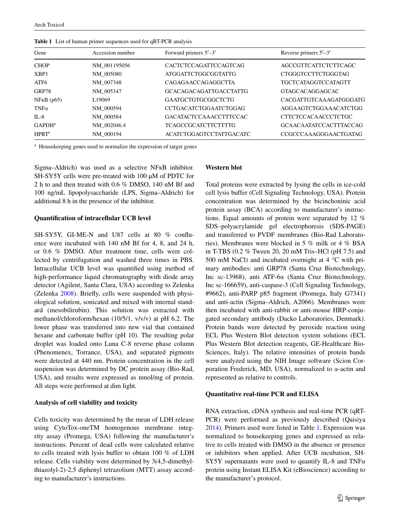| Gene               | Accession number   | Forward primers $5'$ –3'       | Reverse primers $5'$ –3'      |
|--------------------|--------------------|--------------------------------|-------------------------------|
| <b>CHOP</b>        | NM 001195056       | <b>CACTCTCCAGATTCCAGTCAG</b>   | <b>AGCCGTTCATTCTCTTCAGC</b>   |
| XBP1               | NM 005080          | ATGGATTCTGGCGGTATTG            | CTGGGTCCTTCTGGGTAG            |
| ATF <sub>6</sub>   | NM 007348          | <b>CAGAGAACCAGAGGCTTA</b>      | <b>TGCTCATAGGTCCATAGTT</b>    |
| GRP78              | NM 005347          | <b>GCACAGACAGATTGACCTATTG</b>  | <b>GTAGCACAGGAGCAC</b>        |
| $NFRB$ ( $p65$ )   | L <sub>19069</sub> | <b>GAATGCTGTGCGGCTCTG</b>      | <b>CACGATTGTCAAAGATGGGATG</b> |
| $TNF\alpha$        | NM 000594          | <b>CCTGACATCTGGAATCTGGAG</b>   | AGGAAGTCTGGAAACATCTGG         |
| $IL-8$             | NM 000584          | GACATACTCCAAACCTTTCCAC         | <b>CTTCTCCACAACCCTCTGC</b>    |
| GAPDH <sup>a</sup> | NM 002046.4        | <b>TCAGCCGCATCTTCTTTTG</b>     | <b>GCAACAATATCCACTTTACCAG</b> |
| HPRT <sup>a</sup>  | NM 000194          | <b>ACATCTGGAGTCCTATTGACATC</b> | CCGCCCAAAGGGAACTGATAG         |

<span id="page-2-0"></span>**Table 1** List of human primer sequences used for qRT-PCR analysis

<sup>a</sup> Housekeeping genes used to normalize the expression of target genes

Sigma–Aldrich) was used as a selective NFкB inhibitor. SH-SY5Y cells were pre-treated with 100  $\mu$ M of PDTC for 2 h to and then treated with 0.6 % DMSO, 140 nM Bf and 100 ng/mL lipopolysaccharide (LPS, Sigma–Aldrich) for additional 8 h in the presence of the inhibitor.

#### **Quantification of intracellular UCB level**

SH-SY5Y, GI-ME-N and U87 cells at 80 % confluence were incubated with 140 nM Bf for 4, 8, and 24 h, or 0.6 % DMSO. After treatment time, cells were collected by centrifugation and washed three times in PBS. Intracellular UCB level was quantified using method of high-performance liquid chromatography with diode array detector (Agilent, Santa Clara, USA) according to Zelenka (Zelenka [2008](#page-11-24)). Briefly, cells were suspended with physiological solution, sonicated and mixed with internal standard (mesobilirubin). This solution was extracted with methanol/chloroform/hexan (10/5/1, v/v/v) at pH 6.2. The lower phase was transferred into new vial that contained hexane and carbonate buffer (pH 10). The resulting polar droplet was loaded onto Luna C-8 reverse phase column (Phenomenex, Torrance, USA), and separated pigments were detected at 440 nm. Protein concentration in the cell suspension was determined by DC protein assay (Bio-Rad, USA), and results were expressed as nmol/mg of protein. All steps were performed at dim light.

#### **Analysis of cell viability and toxicity**

Cells toxicity was determined by the mean of LDH release using CytoTox-oneTM homogenous membrane integrity assay (Promega, USA) following the manufacturer's instructions. Percent of dead cells were calculated relative to cells treated with lysis buffer to obtain 100 % of LDH release. Cells viability were determined by 3(4,5-dimethylthiazolyl-2)-2,5 diphenyl tetrazolium (MTT) assay according to manufacturer's instructions.

### **Western blot**

Total proteins were extracted by lysing the cells in ice-cold cell lysis buffer (Cell Signaling Technology, USA). Protein concentration was determined by the bicinchoninic acid protein assay (BCA) according to manufacturer's instructions. Equal amounts of protein were separated by 12 % SDS–polyacrylamide gel electrophoresis (SDS-PAGE) and transferred to PVDF membranes (Bio-Rad Laboratories). Membranes were blocked in 5 % milk or 4 % BSA in T-TBS (0.2 % Tween 20, 20 mM Tris–HCl (pH 7.5) and 500 mM NaCl) and incubated overnight at 4 °C with primary antibodies: anti GRP78 (Santa Cruz Biotechnology, Inc sc-13968), anti ATF-6α (Santa Cruz Biotechnology, Inc sc-166659), anti-caspase-3 (Cell Signaling Technology, #9662), anti-PARP p85 fragment (Promega, Italy G7341) and anti-actin (Sigma–Aldrich, A2066). Membranes were then incubated with anti-rabbit or anti-mouse HRP-conjugated secondary antibody (Dacko Laboratories, Denmark). Protein bands were detected by peroxide reaction using ECL Plus Western Blot detection system solutions (ECL Plus Western Blot detection reagents, GE-Healthcare Bio-Sciences, Italy). The relative intensities of protein bands were analyzed using the NIH Image software (Scion Corporation Frederick, MD, USA), normalized to α-actin and represented as relative to controls.

#### **Quantitative real‑time PCR and ELISA**

RNA extraction, cDNA synthesis and real-time PCR (qRT-PCR) were performed as previously described (Qaisiya [2014](#page-11-18)). Primers used were listed in Table [1](#page-2-0). Expression was normalized to housekeeping genes and expressed as relative to cells treated with DMSO in the absence or presence or inhibitors when applied. After UCB incubation, SH-SY5Y supernatants were used to quantify IL-8 and TNFα protein using Instant ELISA Kit (eBioscience) according to the manufacturer's protocol.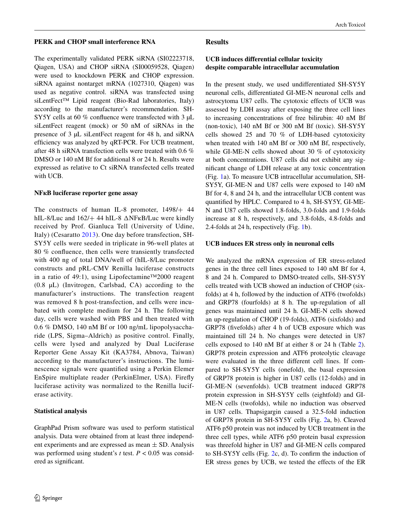#### **PERK and CHOP small interference RNA**

The experimentally validated PERK siRNA (SI02223718, Qiagen, USA) and CHOP siRNA (SI00059528, Qiagen) were used to knockdown PERK and CHOP expression. siRNA against nontarget mRNA (1027310, Qiagen) was used as negative control. siRNA was transfected using siLentFect™ Lipid reagent (Bio-Rad laboratories, Italy) according to the manufacturer's recommendation. SH-SY5Y cells at 60 % confluence were transfected with 3  $\mu$ L siLentFect reagent (mock) or 50 nM of siRNAs in the presence of 3 µL siLentFect reagent for 48 h, and siRNA efficiency was analyzed by qRT-PCR. For UCB treatment, after 48 h siRNA transfection cells were treated with 0.6 % DMSO or 140 nM Bf for additional 8 or 24 h. Results were expressed as relative to Ct siRNA transfected cells treated with UCB.

# **NFкB luciferase reporter gene assay**

The constructs of human IL-8 promoter, 1498/+ 44 hIL-8/Luc and 162/+ 44 hIL-8 ΔNFкB/Luc were kindly received by Prof. Gianluca Tell (University of Udine, Italy) (Cesaratto [2013\)](#page-10-8). One day before transfection, SH-SY5Y cells were seeded in triplicate in 96-well plates at 80 % confluence, then cells were transiently transfected with 400 ng of total DNA/well of (hIL-8/Luc promoter constructs and pRL-CMV Renilla luciferase constructs in a ratio of 49:1), using Lipofectamine™2000 reagent (0.8 µL) (Invitrogen, Carlsbad, CA) according to the manufacturer's instructions. The transfection reagent was removed 8 h post-transfection, and cells were incubated with complete medium for 24 h. The following day, cells were washed with PBS and then treated with 0.6 % DMSO, 140 nM Bf or 100 ng/mL lipopolysaccharide (LPS, Sigma–Aldrich) as positive control. Finally, cells were lysed and analyzed by Dual Luciferase Reporter Gene Assay Kit (KA3784, Abnova, Taiwan) according to the manufacturer's instructions. The luminescence signals were quantified using a Perkin Elemer EnSpire multiplate reader (PerkinElmer, USA). Firefly luciferase activity was normalized to the Renilla luciferase activity.

# **Statistical analysis**

GraphPad Prism software was used to perform statistical analysis. Data were obtained from at least three independent experiments and are expressed as mean  $\pm$  SD. Analysis was performed using student's *t* test. *P* < 0.05 was considered as significant.

# **Results**

# **UCB induces differential cellular toxicity despite comparable intracellular accumulation**

In the present study, we used undifferentiated SH-SY5Y neuronal cells, differentiated GI-ME-N neuronal cells and astrocytoma U87 cells. The cytotoxic effects of UCB was assessed by LDH assay after exposing the three cell lines to increasing concentrations of free bilirubin: 40 nM Bf (non-toxic), 140 nM Bf or 300 nM Bf (toxic). SH-SY5Y cells showed 25 and 70 % of LDH-based cytotoxicity when treated with 140 nM Bf or 300 nM Bf, respectively, while GI-ME-N cells showed about 30 % of cytotoxicity at both concentrations. U87 cells did not exhibit any significant change of LDH release at any toxic concentration (Fig. [1](#page-4-0)a). To measure UCB intracellular accumulation, SH-SY5Y, GI-ME-N and U87 cells were exposed to 140 nM Bf for 4, 8 and 24 h, and the intracellular UCB content was quantified by HPLC. Compared to 4 h, SH-SY5Y, GI-ME-N and U87 cells showed 1.8-folds, 3.0-folds and 1.9-folds increase at 8 h, respectively, and 3.8-folds, 4.8-folds and 2.4-folds at 24 h, respectively (Fig. [1b](#page-4-0)).

# **UCB induces ER stress only in neuronal cells**

We analyzed the mRNA expression of ER stress-related genes in the three cell lines exposed to 140 nM Bf for 4, 8 and 24 h. Compared to DMSO-treated cells, SH-SY5Y cells treated with UCB showed an induction of CHOP (sixfolds) at 4 h, followed by the induction of ATF6 (twofolds) and GRP78 (fourfolds) at 8 h. The up-regulation of all genes was maintained until 24 h. GI-ME-N cells showed an up-regulation of CHOP (19-folds), ATF6 (sixfolds) and GRP78 (fivefolds) after 4 h of UCB exposure which was maintained till 24 h. No changes were detected in U87 cells exposed to 140 nM Bf at either 8 or 24 h (Table [2](#page-4-1)). GRP78 protein expression and ATF6 proteolytic cleavage were evaluated in the three different cell lines. If compared to SH-SY5Y cells (onefold), the basal expression of GRP78 protein is higher in U87 cells (12-folds) and in GI-ME-N (sevenfolds). UCB treatment induced GRP78 protein expression in SH-SY5Y cells (eightfold) and GI-ME-N cells (twofolds), while no induction was observed in U87 cells. Thapsigargin caused a 32.5-fold induction of GRP78 protein in SH-SY5Y cells (Fig. [2](#page-5-0)a, b). Cleaved ATF6 p50 protein was not induced by UCB treatment in the three cell types, while ATF6 p50 protein basal expression was threefold higher in U87 and GI-ME-N cells compared to SH-SY5Y cells (Fig. [2](#page-5-0)c, d). To confirm the induction of ER stress genes by UCB, we tested the effects of the ER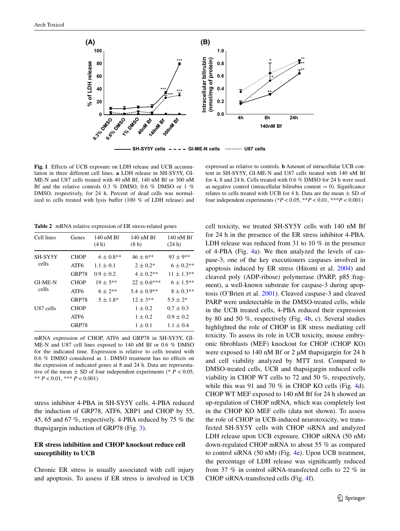

SH-SY5Y cells ---- GI-ME-N cells **with the U87 cells** 

<span id="page-4-0"></span>**Fig. 1** Effects of UCB exposure on LDH release and UCB accumulation in three different cell lines. **a** LDH release in SH-SY5Y, GI-ME-N and U87 cells treated with 40 nM Bf, 140 nM Bf or 300 nM Bf and the relative controls 0.3 % DMSO, 0.6 % DMSO or 1 % DMSO, respectively, for 24 h. Percent of dead cells was normalized to cells treated with lysis buffer (100 % of LDH release) and

expressed as relative to controls. **b** Amount of intracellular UCB content in SH-SY5Y, GI-ME-N and U87 cells treated with 140 nM Bf for 4, 8 and 24 h. Cells treated with 0.6 % DMSO for 24 h were used as negative control (intracellular bilirubin content  $= 0$ ). Significance relates to cells treated with UCB for 4 h. Data are the mean  $\pm$  SD of four independent experiments (\* $P < 0.05$ , \*\* $P < 0.01$ , \*\*\* $P < 0.001$ )

<span id="page-4-1"></span>**Table 2** mRNA relative expression of ER stress-related genes

| (8 <sub>h</sub> ) | $140 \text{ nM}$ Bf<br>(24 h) |
|-------------------|-------------------------------|
| $46 \pm 6$ **     | $93 \pm 9$ **                 |
| $2 \pm 0.2^*$     | $6 \pm 0.2**$                 |
| $4 \pm 0.2$ **    | $11 \pm 1.3**$                |
| $22 \pm 0.6$ ***  | $6 \pm 1.5***$                |
| $5.4 \pm 0.9**$   | $8 \pm 0.3**$                 |
| $12 \pm 3**$      | $5.5 \pm 2*$                  |
| $1 \pm 0.2$       | $0.7 \pm 0.3$                 |
| $1 \pm 0.2$       | $0.9 \pm 0.2$                 |
| $1 \pm 0.1$       | $1.1 \pm 0.4$                 |
|                   | 140 nM Bf                     |

mRNA expression of CHOP, ATF6 and GRP78 in SH-SY5Y, GI-ME-N and U87 cell lines exposed to 140 nM Bf or 0.6 % DMSO for the indicated time. Expression is relative to cells treated with 0.6 % DMSO considered as 1. DMSO treatment has no effects on the expression of indicated genes at 8 and 24 h. Data are representative of the mean  $\pm$  SD of four independent experiments (\*  $P < 0.05$ , \*\* *P* < 0.01, \*\*\* *P* < 0.001)

stress inhibitor 4-PBA in SH-SY5Y cells. 4-PBA reduced the induction of GRP78, ATF6, XBP1 and CHOP by 55, 45, 65 and 67 %, respectively. 4-PBA reduced by 75 % the thapsigargin induction of GRP78 (Fig. [3](#page-5-1)).

# **ER stress inhibition and CHOP knockout reduce cell susceptibility to UCB**

Chronic ER stress is usually associated with cell injury and apoptosis. To assess if ER stress is involved in UCB cell toxicity, we treated SH-SY5Y cells with 140 nM Bf for 24 h in the presence of the ER stress inhibitor 4-PBA. LDH release was reduced from 31 to 10 % in the presence of 4-PBA (Fig. [4a](#page-6-0)). We then analyzed the levels of caspase-3, one of the key executioners caspases involved in apoptosis induced by ER stress (Hitomi et al. [2004](#page-11-12)) and cleaved poly (ADP-ribose) polymerase (PARP, p85 fragment), a well-known substrate for caspase-3 during apoptosis (O'Brien et al. [2001](#page-11-25)). Cleaved caspase-3 and cleaved PARP were undetectable in the DMSO-treated cells, while in the UCB treated cells, 4-PBA reduced their expression by 80 and 50 %, respectively (Fig. [4](#page-6-0)b, c). Several studies highlighted the role of CHOP in ER stress mediating cell toxicity. To assess its role in UCB toxicity, mouse embryonic fibroblasts (MEF) knockout for CHOP (CHOP KO) were exposed to 140 nM Bf or 2  $\mu$ M thapsigargin for 24 h and cell viability analyzed by MTT test. Compared to DMSO-treated cells, UCB and thapsigargin reduced cells viability in CHOP WT cells to 72 and 50 %, respectively, while this was 91 and 70 % in CHOP KO cells (Fig. [4](#page-6-0)d). CHOP WT MEF exposed to 140 nM Bf for 24 h showed an up-regulation of CHOP mRNA, which was completely lost in the CHOP KO MEF cells (data not shown). To assess the role of CHOP in UCB-induced neurotoxicity, we transfected SH-SY5Y cells with CHOP siRNA and analyzed LDH release upon UCB exposure. CHOP siRNA (50 nM) down-regulated CHOP mRNA to about 55 % as compared to control siRNA (50 nM) (Fig. [4](#page-6-0)e). Upon UCB treatment, the percentage of LDH release was significantly reduced from 37 % in control siRNA-transfected cells to 22 % in CHOP siRNA-transfected cells (Fig. [4f](#page-6-0)).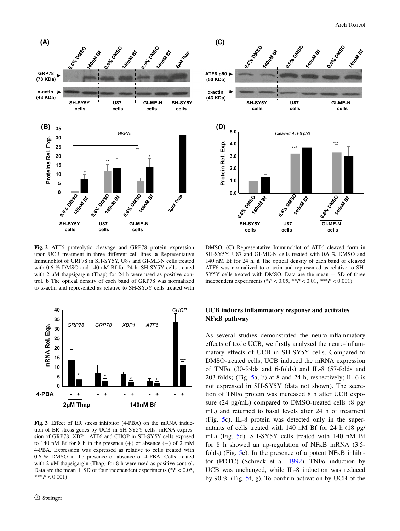

<span id="page-5-0"></span>**Fig. 2** ATF6 proteolytic cleavage and GRP78 protein expression upon UCB treatment in three different cell lines. **a** Representative Immunoblot of GRP78 in SH-SY5Y, U87 and GI-ME-N cells treated with 0.6 % DMSO and 140 nM Bf for 24 h. SH-SY5Y cells treated with 2  $\mu$ M thapsigargin (Thap) for 24 h were used as positive control. **b** The optical density of each band of GRP78 was normalized to α-actin and represented as relative to SH-SY5Y cells treated with



<span id="page-5-1"></span>**Fig. 3** Effect of ER stress inhibitor (4-PBA) on the mRNA induction of ER stress genes by UCB in SH-SY5Y cells. mRNA expression of GRP78, XBP1, ATF6 and CHOP in SH-SY5Y cells exposed to 140 nM Bf for 8 h in the presence  $(+)$  or absence  $(-)$  of 2 mM 4-PBA. Expression was expressed as relative to cells treated with 0.6 % DMSO in the presence or absence of 4-PBA. Cells treated with 2  $\mu$ M thapsigargin (Thap) for 8 h were used as positive control. Data are the mean  $\pm$  SD of four independent experiments ( $P < 0.05$ , \*\*\**P* < 0.001)

DMSO. **(C)** Representative Immunoblot of ATF6 cleaved form in SH-SY5Y, U87 and GI-ME-N cells treated with 0.6 % DMSO and 140 nM Bf for 24 h. **d** The optical density of each band of cleaved ATF6 was normalized to α-actin and represented as relative to SH-SY5Y cells treated with DMSO. Data are the mean  $\pm$  SD of three independent experiments (\**P* < 0.05, \*\**P* < 0.01, \*\*\**P* < 0.001)

# **UCB induces inflammatory response and activates NFкB pathway**

As several studies demonstrated the neuro-inflammatory effects of toxic UCB, we firstly analyzed the neuro-inflammatory effects of UCB in SH-SY5Y cells. Compared to DMSO-treated cells, UCB induced the mRNA expression of TNFα (30-folds and 6-folds) and IL-8 (57-folds and 203-folds) (Fig. [5a](#page-7-0), b) at 8 and 24 h, respectively; IL-6 is not expressed in SH-SY5Y (data not shown). The secretion of TNFα protein was increased 8 h after UCB exposure (24 pg/mL) compared to DMSO-treated cells (8 pg/ mL) and returned to basal levels after 24 h of treatment (Fig. [5](#page-7-0)c). IL-8 protein was detected only in the supernatants of cells treated with 140 nM Bf for 24 h (18 pg/ mL) (Fig. [5d](#page-7-0)). SH-SY5Y cells treated with 140 nM Bf for 8 h showed an up-regulation of NFкB mRNA (3.5 folds) (Fig. [5e](#page-7-0)). In the presence of a potent NFкB inhibitor (PDTC) (Schreck et al. [1992\)](#page-11-26), TNFα induction by UCB was unchanged, while IL-8 induction was reduced by 90 % (Fig. [5](#page-7-0)f, g). To confirm activation by UCB of the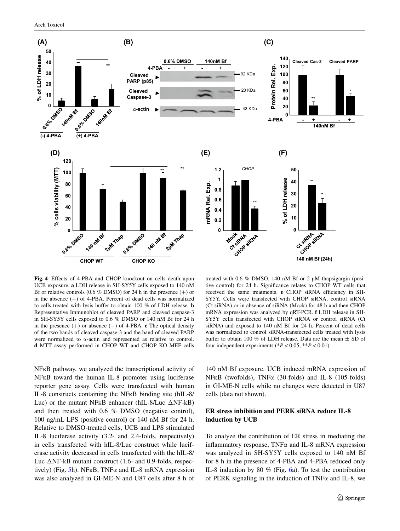

<span id="page-6-0"></span>**Fig. 4** Effects of 4-PBA and CHOP knockout on cells death upon UCB exposure. **a** LDH release in SH-SY5Y cells exposed to 140 nM Bf or relative controls (0.6 % DMSO) for 24 h in the presence  $(+)$  or in the absence (−) of 4-PBA. Percent of dead cells was normalized to cells treated with lysis buffer to obtain 100 % of LDH release. **b** Representative Immunoblot of cleaved PARP and cleaved caspase-3 in SH-SY5Y cells exposed to 0.6 % DMSO or 140 nM Bf for 24 h in the presence (+) or absence (−) of 4-PBA. **c** The optical density of the two bands of cleaved caspase-3 and the band of cleaved PARP were normalized to α-actin and represented as relative to control. **d** MTT assay performed in CHOP WT and CHOP KO MEF cells

NF<sub>K</sub>B pathway, we analyzed the transcriptional activity of NF<sub>K</sub>B toward the human IL-8 promoter using luciferase reporter gene assay. Cells were transfected with human IL-8 constructs containing the NFкB binding site (hIL-8/ Luc) or the mutant NFкB enhancer (hIL-8/Luc ΔNF-kB) and then treated with 0.6 % DMSO (negative control), 100 ng/mL LPS (positive control) or 140 nM Bf for 24 h. Relative to DMSO-treated cells, UCB and LPS stimulated IL-8 luciferase activity (3.2- and 2.4-folds, respectively) in cells transfected with hIL-8/Luc construct while luciferase activity decreased in cells transfected with the hIL-8/ Luc ΔNF-kB mutant construct (1.6- and 0.9-folds, respec-tively) (Fig. [5h](#page-7-0)). NF<sub>K</sub>B, TNF $\alpha$  and IL-8 mRNA expression was also analyzed in GI-ME-N and U87 cells after 8 h of

treated with 0.6 % DMSO, 140 nM Bf or 2 µM thapsigargin (positive control) for 24 h. Significance relates to CHOP WT cells that received the same treatments. **e** CHOP siRNA efficiency in SH-SY5Y. Cells were transfected with CHOP siRNA, control siRNA (Ct siRNA) or in absence of siRNA (Mock) for 48 h and then CHOP mRNA expression was analyzed by qRT-PCR. **f** LDH release in SH-SY5Y cells transfected with CHOP siRNA or control siRNA (Ct siRNA) and exposed to 140 nM Bf for 24 h. Percent of dead cells was normalized to control siRNA-transfected cells treated with lysis buffer to obtain 100 % of LDH release. Data are the mean  $\pm$  SD of four independent experiments ( $P < 0.05$ ,  $*P < 0.01$ )

140 nM Bf exposure. UCB induced mRNA expression of NFкB (twofolds), TNFα (30-folds) and IL-8 (105-folds) in GI-ME-N cells while no changes were detected in U87 cells (data not shown).

# **ER stress inhibition and PERK siRNA reduce IL‑8 induction by UCB**

To analyze the contribution of ER stress in mediating the inflammatory response, TNFα and IL-8 mRNA expression was analyzed in SH-SY5Y cells exposed to 140 nM Bf for 8 h in the presence of 4-PBA and 4-PBA reduced only IL-8 induction by 80 % (Fig. [6](#page-8-0)a). To test the contribution of PERK signaling in the induction of TNFα and IL-8, we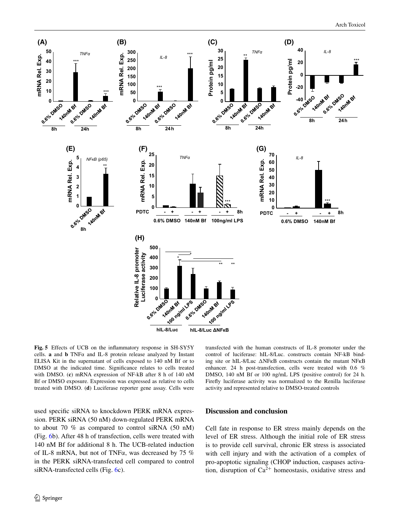

<span id="page-7-0"></span>**Fig. 5** Effects of UCB on the inflammatory response in SH-SY5Y cells. **a** and **b** TNFα and IL-8 protein release analyzed by Instant ELISA Kit in the supernatant of cells exposed to 140 nM Bf or to DMSO at the indicated time. Significance relates to cells treated with DMSO. (**c**) mRNA expression of NF-kB after 8 h of 140 nM Bf or DMSO exposure. Expression was expressed as relative to cells treated with DMSO. (**d**) Luciferase reporter gene assay. Cells were

transfected with the human constructs of IL-8 promoter under the control of luciferase: hIL-8/Luc. constructs contain NF-kB binding site or hIL-8/Luc ΔNFкB constructs contain the mutant NFкB enhancer. 24 h post-transfection, cells were treated with 0.6 % DMSO, 140 nM Bf or 100 ng/mL LPS (positive control) for 24 h. Firefly luciferase activity was normalized to the Renilla luciferase activity and represented relative to DMSO-treated controls

used specific siRNA to knockdown PERK mRNA expression. PERK siRNA (50 nM) down-regulated PERK mRNA to about 70 % as compared to control siRNA (50 nM) (Fig. [6b](#page-8-0)). After 48 h of transfection, cells were treated with 140 nM Bf for additional 8 h. The UCB-related induction of IL-8 mRNA, but not of TNFα, was decreased by 75 % in the PERK siRNA-transfected cell compared to control siRNA-transfected cells (Fig. [6c](#page-8-0)).

# **Discussion and conclusion**

Cell fate in response to ER stress mainly depends on the level of ER stress. Although the initial role of ER stress is to provide cell survival, chronic ER stress is associated with cell injury and with the activation of a complex of pro-apoptotic signaling (CHOP induction, caspases activation, disruption of  $Ca^{2+}$  homeostasis, oxidative stress and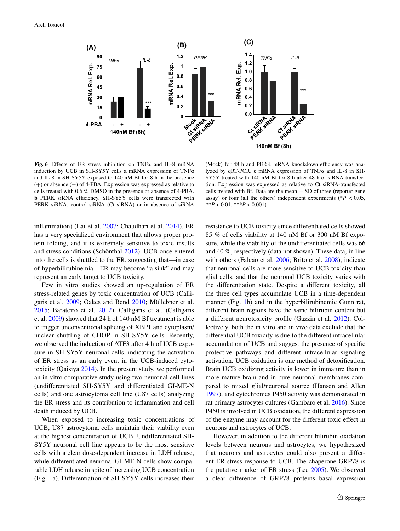

<span id="page-8-0"></span>**Fig. 6** Effects of ER stress inhibition on TNFα and IL-8 mRNA induction by UCB in SH-SY5Y cells **a** mRNA expression of TNFα and IL-8 in SH-SY5Y exposed to 140 nM Bf for 8 h in the presence (+) or absence (−) of 4-PBA. Expression was expressed as relative to cells treated with 0.6 % DMSO in the presence or absence of 4-PBA. **b** PERK siRNA efficiency. SH-SY5Y cells were transfected with PERK siRNA, control siRNA (Ct siRNA) or in absence of siRNA

(Mock) for 48 h and PERK mRNA knockdown efficiency was analyzed by qRT-PCR. **c** mRNA expression of TNFα and IL-8 in SH-SY5Y treated with 140 nM Bf for 8 h after 48 h of siRNA transfection. Expression was expressed as relative to Ct siRNA-transfected cells treated with Bf. Data are the mean  $\pm$  SD of three (reporter gene assay) or four (all the others) independent experiments ( $*P < 0.05$ , \*\**P* < 0.01, \*\*\**P* < 0.001)

inflammation) (Lai et al. [2007;](#page-11-9) Chaudhari et al. [2014](#page-10-2)). ER has a very specialized environment that allows proper protein folding, and it is extremely sensitive to toxic insults and stress conditions (Schönthal [2012](#page-11-5)). UCB once entered into the cells is shuttled to the ER, suggesting that—in case of hyperbilirubinemia—ER may become "a sink" and may represent an early target to UCB toxicity.

Few in vitro studies showed an up-regulation of ER stress-related genes by toxic concentration of UCB (Calligaris et al. [2009;](#page-10-3) Oakes and Bend [2010;](#page-11-19) Müllebner et al. [2015](#page-11-20); Barateiro et al. [2012\)](#page-10-4). Calligaris et al. (Calligaris et al. [2009](#page-10-3)) showed that 24 h of 140 nM Bf treatment is able to trigger unconventional splicing of XBP1 and cytoplasm/ nuclear shuttling of CHOP in SH-SY5Y cells. Recently, we observed the induction of ATF3 after 4 h of UCB exposure in SH-SY5Y neuronal cells, indicating the activation of ER stress as an early event in the UCB-induced cytotoxicity (Qaisiya [2014\)](#page-11-18). In the present study, we performed an in vitro comparative study using two neuronal cell lines (undifferentiated SH-SY5Y and differentiated GI-ME-N cells) and one astrocytoma cell line (U87 cells) analyzing the ER stress and its contribution to inflammation and cell death induced by UCB.

When exposed to increasing toxic concentrations of UCB, U87 astrocytoma cells maintain their viability even at the highest concentration of UCB. Undifferentiated SH-SY5Y neuronal cell line appears to be the most sensitive cells with a clear dose-dependent increase in LDH release, while differentiated neuronal GI-ME-N cells show comparable LDH release in spite of increasing UCB concentration (Fig. [1](#page-4-0)a). Differentiation of SH-SY5Y cells increases their resistance to UCB toxicity since differentiated cells showed 85 % of cells viability at 140 nM Bf or 300 nM Bf exposure, while the viability of the undifferentiated cells was 66 and 40 %, respectively (data not shown). These data, in line with others (Falcão et al. [2006;](#page-10-5) Brito et al. [2008\)](#page-10-9), indicate that neuronal cells are more sensitive to UCB toxicity than glial cells, and that the neuronal UCB toxicity varies with the differentiation state. Despite a different toxicity, all the three cell types accumulate UCB in a time-dependent manner (Fig. [1b](#page-4-0)) and in the hyperbilirubinemic Gunn rat, different brain regions have the same bilirubin content but a different neurotoxicity profile (Gazzin et al. [2012](#page-11-27)). Collectively, both the in vitro and in vivo data exclude that the differential UCB toxicity is due to the different intracellular accumulation of UCB and suggest the presence of specific protective pathways and different intracellular signaling activation. UCB oxidation is one method of detoxification. Brain UCB oxidizing activity is lower in immature than in more mature brain and in pure neuronal membranes compared to mixed glial/neuronal source (Hansen and Allen [1997](#page-11-28)), and cytochromes P450 activity was demonstrated in rat primary astrocytes cultures (Gambaro et al. [2016\)](#page-10-1). Since P450 is involved in UCB oxidation, the different expression of the enzyme may account for the different toxic effect in neurons and astrocytes of UCB.

However, in addition to the different bilirubin oxidation levels between neurons and astrocytes, we hypothesized that neurons and astrocytes could also present a different ER stress response to UCB. The chaperone GRP78 is the putative marker of ER stress (Lee [2005](#page-11-29)). We observed a clear difference of GRP78 proteins basal expression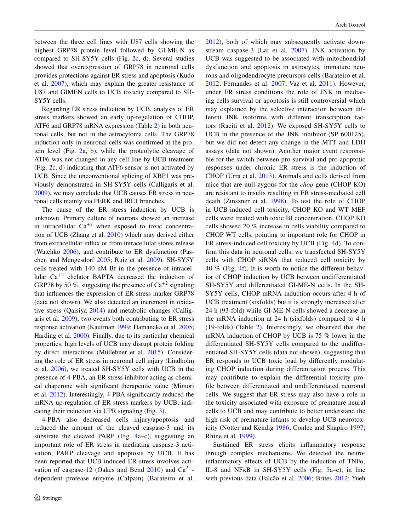between the three cell lines with U87 cells showing the highest GRP78 protein level followed by GI-ME-N as compared to SH-SY5Y cells (Fig. [2c](#page-5-0), d). Several studies showed that overexpression of GRP78 in neuronal cells provides protections against ER stress and apoptosis (Kudo et al. [2007](#page-11-30)), which may explain the greater resistance of U87 and GIMEN cells to UCB toxicity compared to SH-SY5Y cells.

Regarding ER stress induction by UCB, analysis of ER stress markers showed an early up-regulation of CHOP, ATF6 and GRP78 mRNA expression (Table [2\)](#page-4-1) in both neuronal cells, but not in the astrocytoma cells. The GRP78 induction only in neuronal cells was confirmed at the protein level (Fig. [2](#page-5-0)a, b), while the proteolytic cleavage of ATF6 was not changed in any cell line by UCB treatment (Fig. [2](#page-5-0)c, d) indicating that ATF6 sensor is not activated by UCB. Since the unconventional splicing of XBP1 was previously demonstrated in SH-SY5Y cells (Calligaris et al. [2009](#page-10-3)), we may conclude that UCB causes ER stress in neuronal cells mainly via PERK and IRE1 branches.

The cause of the ER stress induction by UCB is unknown. Primary culture of neurons showed an increase in intracellular  $Ca^{+2}$  when exposed to toxic concentration of UCB (Zhang et al. [2010\)](#page-11-31) which may derived either from extracellular influx or from intracellular stores release (Watchko [2006\)](#page-11-2), and contribute to ER dysfunction (Paschen and Mengesdorf [2005](#page-11-32); Ruiz et al. [2009](#page-11-33)). SH-SY5Y cells treated with 140 nM Bf in the presence of intracellular Ca+<sup>2</sup> chelator BAPTA decreased the induction of GRP78 by 50 %, suggesting the presence of  $Ca^{+2}$  signaling that influences the expression of ER stress marker GRP78 (data not shown). We also detected an increment in oxidative stress (Qaisiya [2014](#page-11-18)) and metabolic changes (Calligaris et al. [2009\)](#page-10-3), two events both contributing to ER stress response activation (Kaufman [1999](#page-11-34); Hamanaka et al. [2005](#page-11-35); Harding et al. [2000](#page-11-36)). Finally, due to its particular chemical properties, high levels of UCB may disrupt protein folding by direct interactions (Müllebner et al. [2015\)](#page-11-20). Considering the role of ER stress in neuronal cell injury (Lindholm et al. [2006\)](#page-11-37), we treated SH-SY5Y cells with UCB in the presence of 4-PBA, an ER stress inhibitor acting as chemical chaperone with significant therapeutic value (Mimori et al. [2012](#page-11-38)). Interestingly, 4-PBA significantly reduced the mRNA up-regulation of ER stress markers by UCB, indicating their induction via UPR signaling (Fig. [3\)](#page-5-1).

4-PBA also decreased cells injury/apoptosis and reduced the amount of the cleaved caspase-3 and its substrate the cleaved PARP (Fig. [4](#page-6-0)a–c), suggesting an important role of ER stress in mediating caspase-3 activation, PARP cleavage and apoptosis by UCB. It has been reported that UCB-induced ER stress involves acti-vation of caspase-12 (Oakes and Bend [2010](#page-11-19)) and  $Ca^{2+}$ dependent protease enzyme (Calpain) (Barateiro et al. [2012\)](#page-10-4), both of which may subsequently activate downstream caspase-3 (Lai et al. [2007](#page-11-9)). JNK activation by UCB was suggested to be associated with mitochondrial dysfunction and apoptosis in astrocytes, immature neurons and oligodendrocyte precursors cells (Barateiro et al. [2012;](#page-10-4) Fernandes et al. [2007;](#page-10-10) Vaz et al. [2011\)](#page-11-39). However, under ER stress conditions the role of JNK in mediating cells survival or apoptosis is still controversial which may explained by the selective interaction between different JNK isoforms with different transcription factors (Raciti et al. [2012](#page-11-40)). We exposed SH-SY5Y cells to UCB in the presence of the JNK inhibitor (SP 600125), but we did not detect any change in the MTT and LDH assays (data not shown). Another major event responsible for the switch between pro-survival and pro-apoptotic responses under chronic ER stress is the induction of CHOP (Urra et al. [2013](#page-11-11)). Animals and cells derived from mice that are null-zygous for the *chop* gene (CHOP KO) are resistant to insults resulting in ER stress-mediated cell death (Zinszner et al. [1998](#page-11-13)). To test the role of CHOP in UCB-induced cell toxicity, CHOP KO and WT MEF cells were treated with toxic Bf concentration. CHOP KO cells showed 20 % increase in cells viability compared to CHOP WT cells, pointing to important role for CHOP in ER stress-induced cell toxicity by UCB (Fig. [4](#page-6-0)d). To confirm this data in neuronal cells, we transfected SH-SY5Y cells with CHOP siRNA that reduced cell toxicity by 40 % (Fig. [4f](#page-6-0)). It is worth to notice the different behavior of CHOP induction by UCB between undifferentiated SH-SY5Y and differentiated GI-ME-N cells. In the SH-SY5Y cells, CHOP mRNA induction occurs after 4 h of UCB treatment (sixfolds) but it is strongly increased after 24 h (93-fold) while GI-ME-N cells showed a decrease in the mRNA induction at 24 h (sixfolds) compared to 4 h (19-folds) (Table [2\)](#page-4-1). Interestingly, we observed that the mRNA induction of CHOP by UCB is 75 % lower in the differentiated SH-SY5Y cells compared to the undifferentiated SH-SY5Y cells (data not shown), suggesting that ER responds to UCB toxic load by differently modulating CHOP induction during differentiation process. This may contribute to explain the differential toxicity profile between differentiated and undifferentiated neuronal cells. We suggest that ER stress may also have a role in the toxicity associated with exposure of premature neural cells to UCB and may contribute to better understand the high risk of premature infants to develop UCB neurotoxicity (Notter and Kendig [1986;](#page-11-41) Conlee and Shapiro [1997](#page-10-11); Rhine et al. [1999](#page-11-42)).

Sustained ER stress elicits inflammatory response through complex mechanisms. We detected the neuroinflammatory effects of UCB by the induction of TNFα, IL-8 and NFкB in SH-SY5Y cells (Fig. [5](#page-7-0)a–e), in line with previous data (Falcão et al. [2006;](#page-10-5) Brites [2012](#page-10-6); Yueh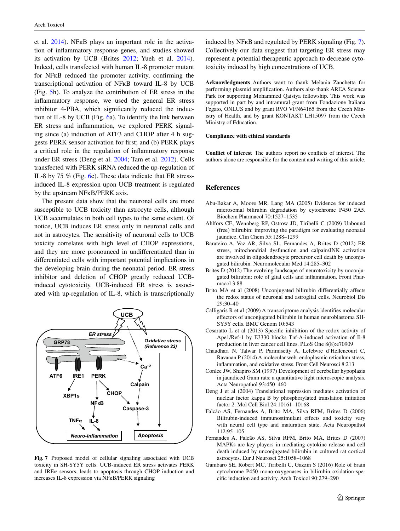et al. [2014\)](#page-11-21). NFкB plays an important role in the activation of inflammatory response genes, and studies showed its activation by UCB (Brites [2012](#page-10-6); Yueh et al. [2014](#page-11-21)). Indeed, cells transfected with human IL-8 promoter mutant for NFкB reduced the promoter activity, confirming the transcriptional activation of NFкB toward IL-8 by UCB (Fig. [5](#page-7-0)h). To analyze the contribution of ER stress in the inflammatory response, we used the general ER stress inhibitor 4-PBA, which significantly reduced the induction of IL-8 by UCB (Fig. [6](#page-8-0)a). To identify the link between ER stress and inflammation, we explored PERK signaling since (a) induction of ATF3 and CHOP after 4 h suggests PERK sensor activation for first; and (b) PERK plays a critical role in the regulation of inflammatory response under ER stress (Deng et al. [2004;](#page-10-12) Tam et al. [2012\)](#page-11-43). Cells transfected with PERK siRNA reduced the up-regulation of IL-8 by 75 % (Fig. [6c](#page-8-0)). These data indicate that ER stressinduced IL-8 expression upon UCB treatment is regulated by the upstream NFкB/PERK axis.

The present data show that the neuronal cells are more susceptible to UCB toxicity than astrocyte cells, although UCB accumulates in both cell types to the same extent. Of notice, UCB induces ER stress only in neuronal cells and not in astrocytes. The sensitivity of neuronal cells to UCB toxicity correlates with high level of CHOP expressions, and they are more pronounced in undifferentiated than in differentiated cells with important potential implications in the developing brain during the neonatal period. ER stress inhibitor and deletion of CHOP greatly reduced UCBinduced cytotoxicity. UCB-induced ER stress is associated with up-regulation of IL-8, which is transcriptionally



<span id="page-10-13"></span>**Fig. 7** Proposed model of cellular signaling associated with UCB toxicity in SH-SY5Y cells. UCB-induced ER stress activates PERK and IREα sensors, leads to apoptosis through CHOP induction and increases IL-8 expression via NFкB/PERK signaling

induced by NFкB and regulated by PERK signaling (Fig. [7](#page-10-13)). Collectively our data suggest that targeting ER stress may represent a potential therapeutic approach to decrease cytotoxicity induced by high concentrations of UCB.

**Acknowledgments** Authors want to thank Melania Zanchetta for performing plasmid amplification. Authors also thank AREA Science Park for supporting Mohammed Qaisiya fellowship. This work was supported in part by and intramural grant from Fondazione Italiana Fegato, ONLUS and by grant RVO VFN64165 from the Czech Ministry of Health, and by grant KONTAKT LH15097 from the Czech Ministry of Education.

#### **Compliance with ethical standards**

**Conflict of interest** The authors report no conflicts of interest. The authors alone are responsible for the content and writing of this article.

#### **References**

- <span id="page-10-0"></span>Abu-Bakar A, Moore MR, Lang MA (2005) Evidence for induced microsomal bilirubin degradation by cytochrome P450 2A5. Biochem Pharmacol 70:1527–1535
- <span id="page-10-7"></span>Ahlfors CE, Wennberg RP, Ostrow JD, Tiribelli C (2009) Unbound (free) bilirubin: improving the paradigm for evaluating neonatal jaundice. Clin Chem 55:1288–1299
- <span id="page-10-4"></span>Barateiro A, Vaz AR, Silva SL, Fernandes A, Brites D (2012) ER stress, mitochondrial dysfunction and calpain/JNK activation are involved in oligodendrocyte precursor cell death by unconjugated bilirubin. Neuromolecular Med 14:285–302
- <span id="page-10-6"></span>Brites D (2012) The evolving landscape of neurotoxicity by unconjugated bilirubin: role of glial cells and inflammation. Front Pharmacol 3:88
- <span id="page-10-9"></span>Brito MA et al (2008) Unconjugated bilirubin differentially affects the redox status of neuronal and astroglial cells. Neurobiol Dis 29:30–40
- <span id="page-10-3"></span>Calligaris R et al (2009) A transcriptome analysis identifies molecular effectors of unconjugated bilirubin in human neuroblastoma SH-SY5Y cells. BMC Genom 10:543
- <span id="page-10-8"></span>Cesaratto L et al (2013) Specific inhibition of the redox activity of Ape1/Ref-1 by E3330 blocks Tnf-Α-induced activation of Il-8 production in liver cancer cell lines. PLoS One 8(8):e70909
- <span id="page-10-2"></span>Chaudhari N, Talwar P, Parimisetty A, Lefebvre d'Hellencourt C, Ravanan P (2014) A molecular web: endoplasmic reticulum stress, inflammation, and oxidative stress. Front Cell Neurosci 8:213
- <span id="page-10-11"></span>Conlee JW, Shapiro SM (1997) Development of cerebellar hypoplasia in jaundiced Gunn rats: a quantitative light microscopic analysis. Acta Neuropathol 93:450–460
- <span id="page-10-12"></span>Deng J et al (2004) Translational repression mediates activation of nuclear factor kappa B by phosphorylated translation initiation factor 2. Mol Cell Biol 24:10161–10168
- <span id="page-10-5"></span>Falcão AS, Fernandes A, Brito MA, Silva RFM, Brites D (2006) Bilirubin-induced immunostimulant effects and toxicity vary with neural cell type and maturation state. Acta Neuropathol 112:95–105
- <span id="page-10-10"></span>Fernandes A, Falcão AS, Silva RFM, Brito MA, Brites D (2007) MAPKs are key players in mediating cytokine release and cell death induced by unconjugated bilirubin in cultured rat cortical astrocytes. Eur J Neurosci 25:1058–1068
- <span id="page-10-1"></span>Gambaro SE, Robert MC, Tiribelli C, Gazzin S (2016) Role of brain cytochrome P450 mono-oxygenases in bilirubin oxidation-specific induction and activity. Arch Toxicol 90:279–290